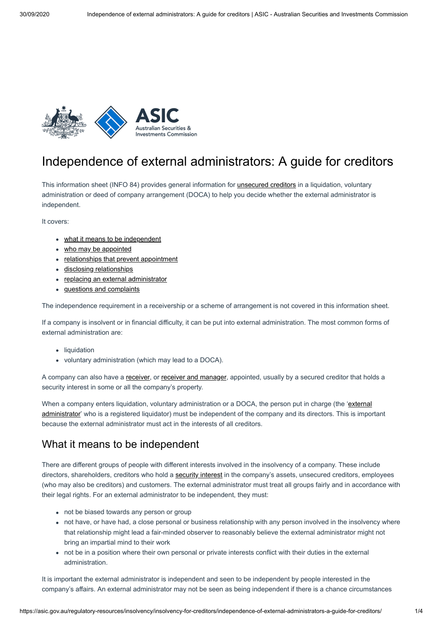

# Independence of external administrators: A guide for creditors

This information sheet (INFO 84) provides general information for [unsecured creditors](https://asic.gov.au/regulatory-resources/insolvency/insolvency-information-for-directors-employees-creditors-and-shareholders/insolvency-a-glossary-of-terms/#unsecured-creditor) in a liquidation, voluntary administration or deed of company arrangement (DOCA) to help you decide whether the external administrator is independent.

It covers:

- [what it means to be independent](#page-0-0)
- [who may be appointed](#page-1-0)
- [relationships that prevent appointment](#page-1-1)
- [disclosing relationships](#page-1-2)
- [replacing an external administrator](#page-2-0)
- [questions and complaints](#page-2-1)

The independence requirement in a receivership or a scheme of arrangement is not covered in this information sheet.

If a company is insolvent or in financial difficulty, it can be put into external administration. The most common forms of external administration are:

- liquidation
- voluntary administration (which may lead to a DOCA).

A company can also have a [receiver](https://asic.gov.au/regulatory-resources/insolvency/insolvency-information-for-directors-employees-creditors-and-shareholders/insolvency-a-glossary-of-terms/#receiver), or [receiver and manager](https://asic.gov.au/regulatory-resources/insolvency/insolvency-information-for-directors-employees-creditors-and-shareholders/insolvency-a-glossary-of-terms/#receiver-and-manager), appointed, usually by a secured creditor that holds a security interest in some or all the company's property.

[When a company enters liquidation, voluntary administration or a DOCA, the person put in charge \(the 'external](https://asic.gov.au/regulatory-resources/insolvency/insolvency-information-for-directors-employees-creditors-and-shareholders/insolvency-a-glossary-of-terms/#external-administrator) administrator' who is a registered liquidator) must be independent of the company and its directors. This is important because the external administrator must act in the interests of all creditors.

### <span id="page-0-0"></span>What it means to be independent

There are different groups of people with different interests involved in the insolvency of a company. These include directors, shareholders, creditors who hold a [security interest](https://asic.gov.au/regulatory-resources/insolvency/insolvency-information-for-directors-employees-creditors-and-shareholders/insolvency-a-glossary-of-terms/#security-interest) in the company's assets, unsecured creditors, employees (who may also be creditors) and customers. The external administrator must treat all groups fairly and in accordance with their legal rights. For an external administrator to be independent, they must:

- not be biased towards any person or group
- not have, or have had, a close personal or business relationship with any person involved in the insolvency where that relationship might lead a fair-minded observer to reasonably believe the external administrator might not bring an impartial mind to their work
- not be in a position where their own personal or private interests conflict with their duties in the external administration.

It is important the external administrator is independent and seen to be independent by people interested in the company's affairs. An external administrator may not be seen as being independent if there is a chance circumstances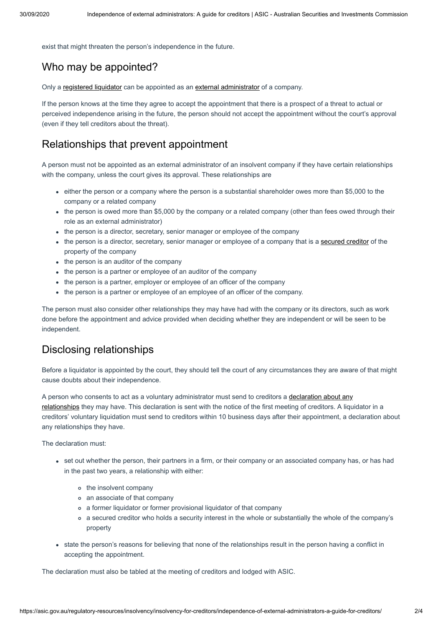exist that might threaten the person's independence in the future.

# <span id="page-1-0"></span>Who may be appointed?

Only a [registered liquidator](https://asic.gov.au/regulatory-resources/insolvency/insolvency-information-for-directors-employees-creditors-and-shareholders/insolvency-a-glossary-of-terms/#registered-liquidator) can be appointed as an [external administrator](https://asic.gov.au/regulatory-resources/insolvency/insolvency-information-for-directors-employees-creditors-and-shareholders/insolvency-a-glossary-of-terms/#external-administrator) of a company.

If the person knows at the time they agree to accept the appointment that there is a prospect of a threat to actual or perceived independence arising in the future, the person should not accept the appointment without the court's approval (even if they tell creditors about the threat).

### <span id="page-1-1"></span>Relationships that prevent appointment

A person must not be appointed as an external administrator of an insolvent company if they have certain relationships with the company, unless the court gives its approval. These relationships are

- either the person or a company where the person is a substantial shareholder owes more than \$5,000 to the company or a related company
- the person is owed more than \$5,000 by the company or a related company (other than fees owed through their role as an external administrator)
- the person is a director, secretary, senior manager or employee of the company
- the person is a director, secretary, senior manager or employee of a company that is a [secured creditor](https://asic.gov.au/regulatory-resources/insolvency/insolvency-information-for-directors-employees-creditors-and-shareholders/insolvency-a-glossary-of-terms/#secured-creditor) of the property of the company
- the person is an auditor of the company
- the person is a partner or employee of an auditor of the company
- the person is a partner, employer or employee of an officer of the company
- the person is a partner or employee of an employee of an officer of the company.

The person must also consider other relationships they may have had with the company or its directors, such as work done before the appointment and advice provided when deciding whether they are independent or will be seen to be independent.

### <span id="page-1-2"></span>Disclosing relationships

Before a liquidator is appointed by the court, they should tell the court of any circumstances they are aware of that might cause doubts about their independence.

[A person who consents to act as a voluntary administrator must send to creditors a declaration about any](https://asic.gov.au/regulatory-resources/insolvency/insolvency-information-for-directors-employees-creditors-and-shareholders/insolvency-a-glossary-of-terms/#declaration-of-relevant-relationships) relationships they may have. This declaration is sent with the notice of the first meeting of creditors. A liquidator in a creditors' voluntary liquidation must send to creditors within 10 business days after their appointment, a declaration about any relationships they have.

The declaration must:

- set out whether the person, their partners in a firm, or their company or an associated company has, or has had in the past two years, a relationship with either:
	- o the insolvent company
	- an associate of that company
	- a former liquidator or former provisional liquidator of that company
	- a secured creditor who holds a security interest in the whole or substantially the whole of the company's property
- state the person's reasons for believing that none of the relationships result in the person having a conflict in accepting the appointment.

The declaration must also be tabled at the meeting of creditors and lodged with ASIC.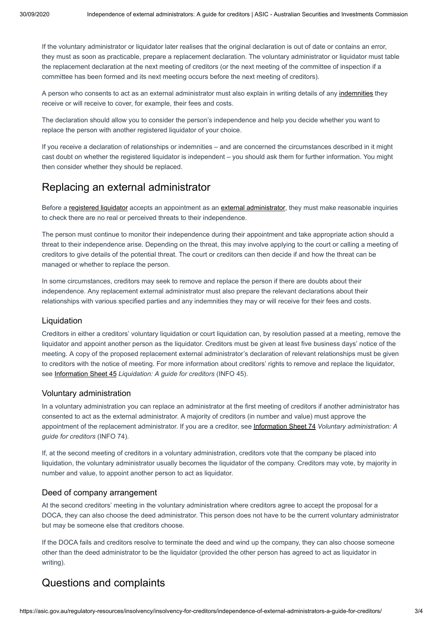If the voluntary administrator or liquidator later realises that the original declaration is out of date or contains an error, they must as soon as practicable, prepare a replacement declaration. The voluntary administrator or liquidator must table the replacement declaration at the next meeting of creditors (or the next meeting of the committee of inspection if a committee has been formed and its next meeting occurs before the next meeting of creditors).

A person who consents to act as an external administrator must also explain in writing details of any [indemnities](https://asic.gov.au/regulatory-resources/insolvency/insolvency-information-for-directors-employees-creditors-and-shareholders/insolvency-a-glossary-of-terms/#indemnity) they receive or will receive to cover, for example, their fees and costs.

The declaration should allow you to consider the person's independence and help you decide whether you want to replace the person with another registered liquidator of your choice.

If you receive a declaration of relationships or indemnities – and are concerned the circumstances described in it might cast doubt on whether the registered liquidator is independent – you should ask them for further information. You might then consider whether they should be replaced.

## <span id="page-2-0"></span>Replacing an external administrator

Before a [registered liquidator](https://asic.gov.au/regulatory-resources/insolvency/insolvency-information-for-directors-employees-creditors-and-shareholders/insolvency-a-glossary-of-terms/#registered-liquidator) accepts an appointment as an [external administrator,](https://asic.gov.au/regulatory-resources/insolvency/insolvency-information-for-directors-employees-creditors-and-shareholders/insolvency-a-glossary-of-terms/#external-administrator) they must make reasonable inquiries to check there are no real or perceived threats to their independence.

The person must continue to monitor their independence during their appointment and take appropriate action should a threat to their independence arise. Depending on the threat, this may involve applying to the court or calling a meeting of creditors to give details of the potential threat. The court or creditors can then decide if and how the threat can be managed or whether to replace the person.

In some circumstances, creditors may seek to remove and replace the person if there are doubts about their independence. Any replacement external administrator must also prepare the relevant declarations about their relationships with various specified parties and any indemnities they may or will receive for their fees and costs.

#### Liquidation

Creditors in either a creditors' voluntary liquidation or court liquidation can, by resolution passed at a meeting, remove the liquidator and appoint another person as the liquidator. Creditors must be given at least five business days' notice of the meeting. A copy of the proposed replacement external administrator's declaration of relevant relationships must be given to creditors with the notice of meeting. For more information about creditors' rights to remove and replace the liquidator, see [Information Sheet 45](https://asic.gov.au/regulatory-resources/insolvency/insolvency-for-creditors/liquidation-a-guide-for-creditors/) *Liquidation: A guide for creditors* (INFO 45).

#### Voluntary administration

In a voluntary administration you can replace an administrator at the first meeting of creditors if another administrator has consented to act as the external administrator. A majority of creditors (in number and value) must approve the appointment of the replacement administrator. If you are a creditor, see [Information Sheet 74](https://asic.gov.au/regulatory-resources/insolvency/insolvency-for-creditors/voluntary-administration-a-guide-for-creditors/) *Voluntary administration: A guide for creditors* (INFO 74).

If, at the second meeting of creditors in a voluntary administration, creditors vote that the company be placed into liquidation, the voluntary administrator usually becomes the liquidator of the company. Creditors may vote, by majority in number and value, to appoint another person to act as liquidator.

#### Deed of company arrangement

At the second creditors' meeting in the voluntary administration where creditors agree to accept the proposal for a DOCA, they can also choose the deed administrator. This person does not have to be the current voluntary administrator but may be someone else that creditors choose.

If the DOCA fails and creditors resolve to terminate the deed and wind up the company, they can also choose someone other than the deed administrator to be the liquidator (provided the other person has agreed to act as liquidator in writing).

### <span id="page-2-1"></span>Questions and complaints